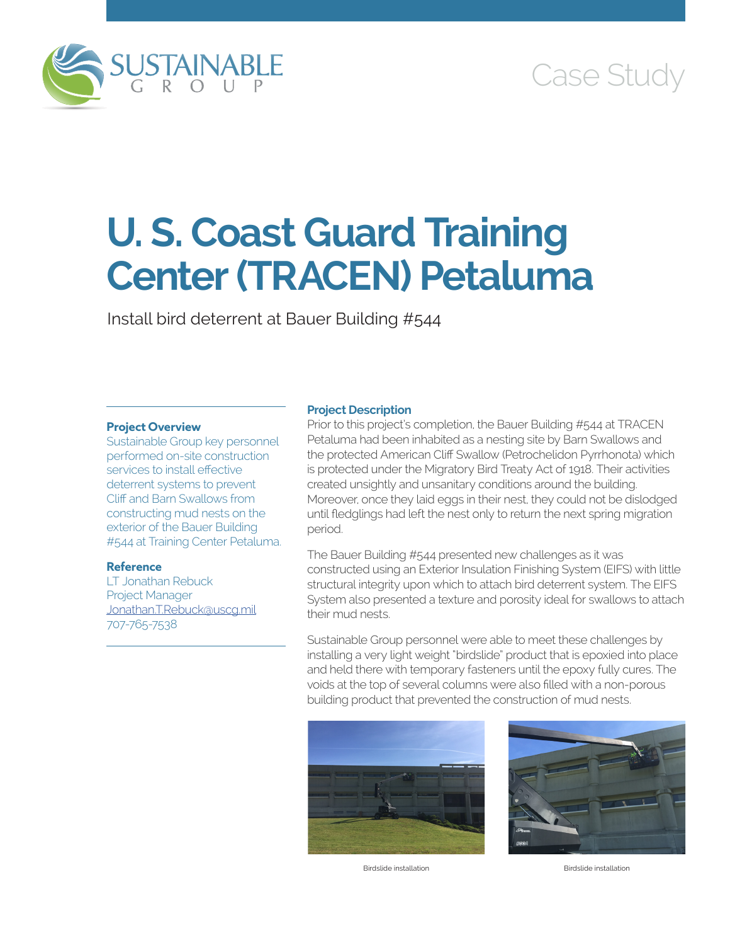

# Case Study

# **U. S. Coast Guard Training Center (TRACEN) Petaluma**

Install bird deterrent at Bauer Building #544

#### **Project Overview**

Sustainable Group key personnel performed on-site construction services to install effective deterrent systems to prevent Cliff and Barn Swallows from constructing mud nests on the exterior of the Bauer Building #544 at Training Center Petaluma.

# **Reference**

LT Jonathan Rebuck Project Manager [Jonathan.T.Rebuck@uscg.mil](mailto:Jonathan.T.Rebuck@uscg.mil) 707-765-7538

### **Project Description**

Prior to this project's completion, the Bauer Building #544 at TRACEN Petaluma had been inhabited as a nesting site by Barn Swallows and the protected American Cliff Swallow (Petrochelidon Pyrrhonota) which is protected under the Migratory Bird Treaty Act of 1918. Their activities created unsightly and unsanitary conditions around the building. Moreover, once they laid eggs in their nest, they could not be dislodged until fledglings had left the nest only to return the next spring migration period.

The Bauer Building #544 presented new challenges as it was constructed using an Exterior Insulation Finishing System (EIFS) with little structural integrity upon which to attach bird deterrent system. The EIFS System also presented a texture and porosity ideal for swallows to attach their mud nests.

Sustainable Group personnel were able to meet these challenges by installing a very light weight "birdslide" product that is epoxied into place and held there with temporary fasteners until the epoxy fully cures. The voids at the top of several columns were also filled with a non-porous building product that prevented the construction of mud nests.



Birdslide installation Birdslide installation